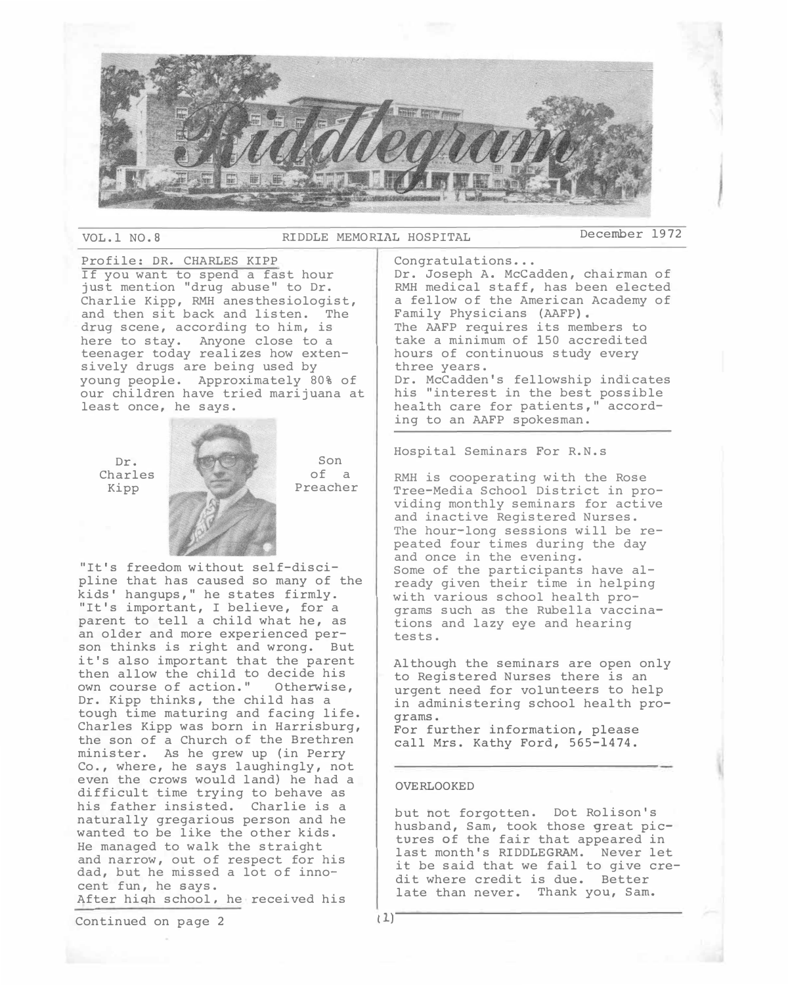

VOL.l NO.8 RIDDLE MEMORIAL HOSPITAL December 1972

Profile: DR. CHARLES KIPP If you want to spend a fast hour just mention "drug abuse" to Dr. Charlie Kipp, RMH anesthesiologist, and then sit back and listen. The drug scene, according to him, is here to stay. Anyone close to a teenager today realizes how extensively drugs are being used by young people. Approximately 80% of our children have tried marijuana at least once, he says.

Dr. Charles Kipp

Son of a Preacher

"It's freedom without self-discipline that has caused so many of the kids' hangups," he states firmly. "It's important, I believe, for a parent to tell a child what he, as an older and more experienced person thinks is right and wrong. But it's also important that the parent then allow the child to decide his own course of action." Otherwise, Dr. Kipp thinks, the child has a tough time maturing and facing life. Charles Kipp was born in Harrisburg, the son of a Church of the Brethren minister. As he grew up (in Perry Co., where, he says laughingly, not even the crows would land) he had a difficult time trying to behave as his father insisted. Charlie is a naturally gregarious person and he wanted to be like the other kids. He managed to walk the straight and narrow, out of respect for his dad, but he missed a lot of innocent fun, he says. After hiqh school, he received his

Continued on page  $2$   $(1)^2$ 

hours of continuous study every three years.

Congratulations •..

Dr. McCadden's fellowship indicates his "interest in the best possible health care for patients," according to an AAFP spokesman.

Dr. Joseph A. Mccadden, chairman of RMH medical staff, has been elected a fellow of the American Academy of

The AAFP requires its members to take a minimum of 150 accredited

Hospital Seminars For R.N.s

Family Physicians (AAFP).

RMH is cooperating with the Rose Tree-Media School District in providing monthly seminars for active and inactive Registered Nurses. The hour-long sessions will be repeated four times during the day and once in the evening. Some of the participants have already given their time in helping with various school health programs such as the Rubella vaccinations and lazy eye and hearing tests.

Although the seminars are open only to Registered Nurses there is an urgent need for volunteers to help in administering school health programs. For further information, please

call Mrs. Kathy Ford, 565-1474.

#### OVERLOOKED

but hot forgotten. Dot Rolison's husband, Sam, took those great pictures of the fair that appeared in last month's RIDDLEGRAM. Never let it be said that we fail to give credit where credit is due. Better late than never. Thank you, Sam.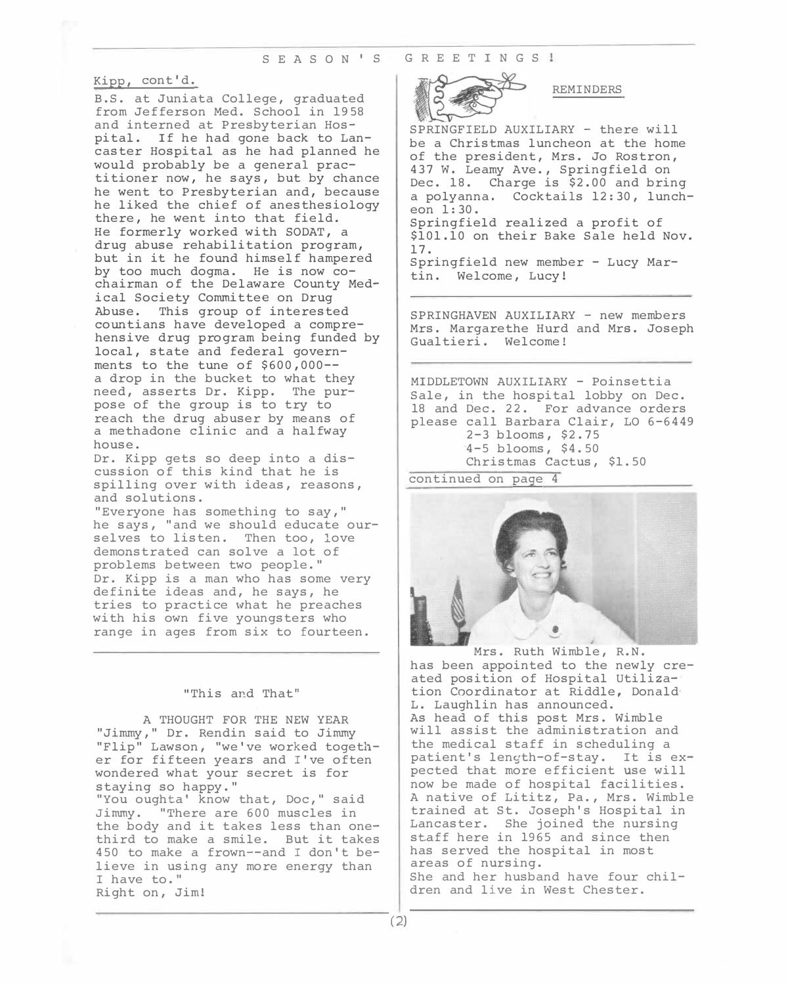#### S E A S O N ' S G R E E T I N G S 1

# Kipp, cont'd.

B.S. at Juniata College, g*r*aduated f*r*om Jeffe*r*son Med. School in 1958 and inte*r*ned at P*r*esbyte*r*ian Hospital. If he had gone back to Lancaste*r* Hospital as he had planned he would p*r*obably be a gene*r*al p*r*actitione*r* now, he says, but by chance he went to P*r*esbyte*r*ian and, because he liked the chief of anesthesiology the*r*e, he went into that field. He fo*r*me*r*ly wo*r*ked with SODAT, a d*r*ug abuse *r*ehabilitation p*r*og*r*am, but in it he found himself hampe*r*ed by too much dogma. He is now cochai*r*man of the Delawa*r*e County Medical Society Committee on D*r*ug Abuse. This g*r*oup of inte*r*ested countians have developed a comp*r*ehensive d*r*ug p*r*og*r*am being funded by local, state and fede*r*al gove*r*nments to the tune of \$600,000- a d*r*op in the bucket to what they need, asse*r*ts D*r*. Kipp. The pu*r*pose of the g*r*oup is to t*r*y to *r*each the d*r*ug abuse*r* by means of a methadone clinic and a halfway house.

D*r*. Kipp gets so deep into a discussion of this kind that he is spilling ove*r* with ideas, *r*easons, and solutions.

"Eve*r*yone has something to say," he says, "and we should educate ou*r*selves to listen. Then too, love demonst*r*ated can solve a lot of p*r*oblems between two people." D*r*. Kipp is a man who has some ve*r*y definite ideas and, he says, he t*r*ies to p*r*actice what he p*r*eaches with his own five youngste*r*s who *r*ange in ages f*r*om six to fou*r*teen.

#### "This and That"

A THOUGHT FOR THE NEW YEAR "Jimmy," D*r*. Rendin said to Jimmy "Flip" Lawson, "we've wo*r*ked togethe*r* fo*r* fifteen yea*r*s and I've often wonde*r*ed what you*r* sec*r*et is fo*r*  staying so happy." "You oughta' know that, Doc," said Jimmy. "The*r*e a*r*e 600 muscles in

the body and it takes less than onethi*r*d to make a smile. But it takes 450 to make a f*r*own--and I don't believe in using any mo*r*e ene*r*gy than I have to." Right on, Jim!



REMINDERS

SPRINGFIELD AUXILIARY - the*r*e will be a Ch*r*istmas luncheon at the home of the p*r*esident, M*r*s. Jo Rost*r*on, 437 w. Leamy Ave., Sp*r*ingfield on Dec. 18. Cha*r*ge is \$2.00 and b*r*ing a polyanna. Cocktails 12:30, luncheon 1:30. Sp*r*ingfield *r*ealized a p*r*ofit of \$101.10 on thei*r* Bake Sale held Nov. 17. Sp*r*ingfield new membe*r* - Lucy Ma*r*tin. Welcome, Lucy!

SPRINGHAVEN AUXILIARY - new membe*r*s M*r*s. Ma*r*ga*r*ethe Hu*r*d and M*r*s. Joseph Gualtie*r*i. Welcome!

MIDDLETOWN AUXILIARY - Poinsettia Sale, in the hospital lobby on Dec. 18 and Dec. 22. Fo*r* advance o*r*de*r*s please call Ba*r*ba*r*a Clai*r*, LO 6-6449 2-3 blooms, \$2.75 4-5 blooms, \$4. 50 Ch*r*istmas Cactus, \$1.50 continued on page 4



has been appointed to the newly c*r*eated position of Hospital Utilization Coo*r*dinato*r* at Riddle, Donald· L. Laughlin has announced. As head of this post M*r*s. Wimble will assist the administ*r*ation and the medical staff in scheduling a patient's length-of-stay. It is expected that mo*r*e efficient use will now be made of hospital facilities. A native of Lititz, Pa., M*r*s. Wimble t*r*ained at St. Joseph's Hospital in Lancaste*r*. She joined the nu*r*sing staff he*r*e in 1965 and since then has se*r*ved the hospital in most a*r*eas of nu*r*sing. She and he*r* husband have fou*r* child*r*en and live in West Cheste*r*.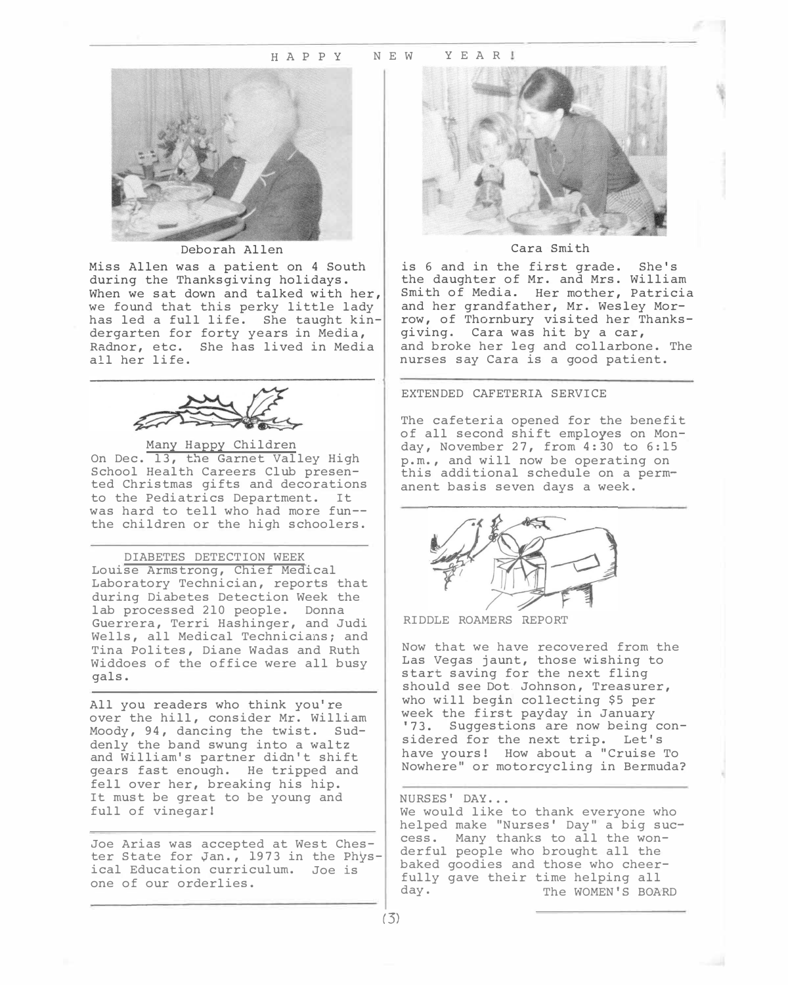#### H A P P Y N E W Y E A R !



Deborah Allen

Miss Allen was a patient on 4 South during the Thanksgiving holidays. When we sat down and talked with her, we found that this perky little lady has led a full life. She taught kindergarten for forty years in Media, Radnor, etc. She has lived in Media all her life.



Many Happy Children On Dec. 13, the Garnet Valley High School Health Careers Club presented Christmas gifts and decorations to the Pediatrics Department. It was hard to tell who had more fun the children or the high schoolers.

DIABETES DETECTION WEEK Louise Armstrong, Chief Medical Laboratory Technician, reports that during Diabetes Detection Week the lab processed 210 people. Donna Guerrera, Terri Hashinger, and Judi Wells, all Medical Technicians; and Tina Polites, Diane Wadas and Ruth Widdoes of the office were all busy gals.

All you readers who think you're over the hill, consider Mr. William Moody, 94, dancing the twist. Suddenly the band swung into a waltz and William's partner didn't shift gears fast enough. He tripped and fell over her, breaking his hip. It must be great to be young and full of vinegar!

Joe Arias was accepted at West Chester State for yan., 1973 in the Physical Education curriculum. Joe is one of our orderlies.



### Cara Smith

is 6 and in the first grade. She's the daughter of Mr. and Mrs. William Smith of Media. Her mother, Patricia and her grandfather, Mr. Wesley Morrow, of Thornbury visited her Thanksgiving. Cara was hit by a car, and broke her leg and collarbone. The nurses say Cara is a good patient.

#### EXTENDED CAFETERIA SERVICE

The cafeteria opened for the benefit of all second shift employes on Monday, November 27, from 4:30 to 6:15 p.m., and will now be operating on this additional schedule on a permanent basis seven days a week.



RIDDLE ROAMERS REPORT

Now that we have recovered from the Las Vegas jaunt, those wishing to start saving for the next fling should see Dot. Johnson, Treasurer, who will begin collecting \$5 per week the first payday in January '73. Suggestions are now being considered for the next trip. Let's have yours! How about a "Cruise To Nowhere" or motorcycling in Bermuda?

#### NURSES' DAY...

We would like to thank everyone who helped make "Nurses' Day" a big success. Many thanks to all the wonderful people who brought all the baked goodies and those who cheerfully gave their time helping all day. The WOMEN'S BOARD